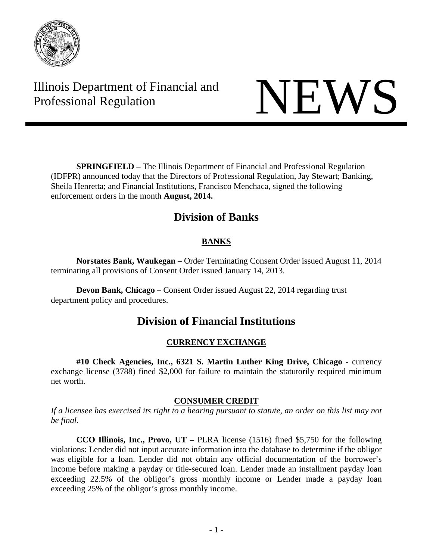

# Illinois Department of Financial and Illinois Department of Financial and<br>Professional Regulation

 **SPRINGFIELD –** The Illinois Department of Financial and Professional Regulation (IDFPR) announced today that the Directors of Professional Regulation, Jay Stewart; Banking, Sheila Henretta; and Financial Institutions, Francisco Menchaca, signed the following enforcement orders in the month **August, 2014.** 

## **Division of Banks**

## **BANKS**

 **Norstates Bank, Waukegan** – Order Terminating Consent Order issued August 11, 2014 terminating all provisions of Consent Order issued January 14, 2013.

 **Devon Bank, Chicago** – Consent Order issued August 22, 2014 regarding trust department policy and procedures.

## **Division of Financial Institutions**

## **CURRENCY EXCHANGE**

**#10 Check Agencies, Inc., 6321 S. Martin Luther King Drive, Chicago -** currency exchange license (3788) fined \$2,000 for failure to maintain the statutorily required minimum net worth.

### **CONSUMER CREDIT**

*If a licensee has exercised its right to a hearing pursuant to statute, an order on this list may not be final.* 

**CCO Illinois, Inc., Provo, UT –** PLRA license (1516) fined \$5,750 for the following violations: Lender did not input accurate information into the database to determine if the obligor was eligible for a loan. Lender did not obtain any official documentation of the borrower's income before making a payday or title-secured loan. Lender made an installment payday loan exceeding 22.5% of the obligor's gross monthly income or Lender made a payday loan exceeding 25% of the obligor's gross monthly income.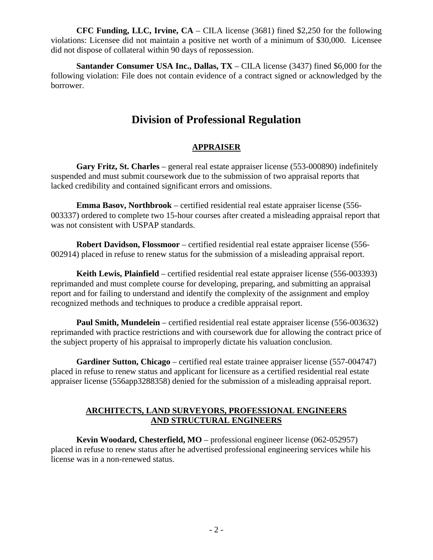**CFC Funding, LLC, Irvine, CA** – CILA license (3681) fined \$2,250 for the following violations: Licensee did not maintain a positive net worth of a minimum of \$30,000. Licensee did not dispose of collateral within 90 days of repossession.

**Santander Consumer USA Inc., Dallas, TX** – CILA license (3437) fined \$6,000 for the following violation: File does not contain evidence of a contract signed or acknowledged by the borrower.

## **Division of Professional Regulation**

#### **APPRAISER**

**Gary Fritz, St. Charles** – general real estate appraiser license (553-000890) indefinitely suspended and must submit coursework due to the submission of two appraisal reports that lacked credibility and contained significant errors and omissions.

**Emma Basov, Northbrook** – certified residential real estate appraiser license (556- 003337) ordered to complete two 15-hour courses after created a misleading appraisal report that was not consistent with USPAP standards.

**Robert Davidson, Flossmoor** – certified residential real estate appraiser license (556- 002914) placed in refuse to renew status for the submission of a misleading appraisal report.

**Keith Lewis, Plainfield** – certified residential real estate appraiser license (556-003393) reprimanded and must complete course for developing, preparing, and submitting an appraisal report and for failing to understand and identify the complexity of the assignment and employ recognized methods and techniques to produce a credible appraisal report.

**Paul Smith, Mundelein** – certified residential real estate appraiser license (556-003632) reprimanded with practice restrictions and with coursework due for allowing the contract price of the subject property of his appraisal to improperly dictate his valuation conclusion.

**Gardiner Sutton, Chicago** – certified real estate trainee appraiser license (557-004747) placed in refuse to renew status and applicant for licensure as a certified residential real estate appraiser license (556app3288358) denied for the submission of a misleading appraisal report.

#### **ARCHITECTS, LAND SURVEYORS, PROFESSIONAL ENGINEERS AND STRUCTURAL ENGINEERS**

**Kevin Woodard, Chesterfield, MO** – professional engineer license (062-052957) placed in refuse to renew status after he advertised professional engineering services while his license was in a non-renewed status.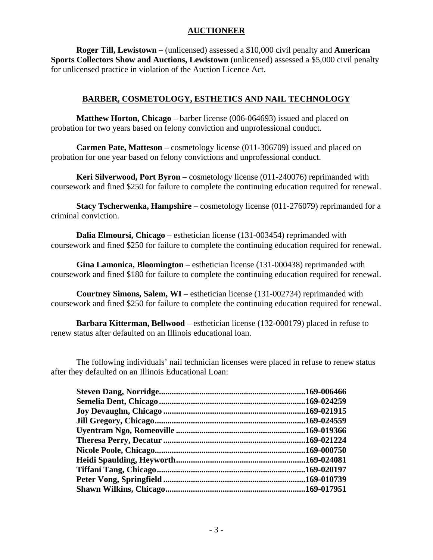#### **AUCTIONEER**

**Roger Till, Lewistown** – (unlicensed) assessed a \$10,000 civil penalty and **American Sports Collectors Show and Auctions, Lewistown** (unlicensed) assessed a \$5,000 civil penalty for unlicensed practice in violation of the Auction Licence Act.

#### **BARBER, COSMETOLOGY, ESTHETICS AND NAIL TECHNOLOGY**

**Matthew Horton, Chicago** – barber license (006-064693) issued and placed on probation for two years based on felony conviction and unprofessional conduct.

**Carmen Pate, Matteson** – cosmetology license (011-306709) issued and placed on probation for one year based on felony convictions and unprofessional conduct.

**Keri Silverwood, Port Byron** – cosmetology license (011-240076) reprimanded with coursework and fined \$250 for failure to complete the continuing education required for renewal.

**Stacy Tscherwenka, Hampshire** – cosmetology license (011-276079) reprimanded for a criminal conviction.

**Dalia Elmoursi, Chicago** – esthetician license (131-003454) reprimanded with coursework and fined \$250 for failure to complete the continuing education required for renewal.

**Gina Lamonica, Bloomington** – esthetician license (131-000438) reprimanded with coursework and fined \$180 for failure to complete the continuing education required for renewal.

**Courtney Simons, Salem, WI** – esthetician license (131-002734) reprimanded with coursework and fined \$250 for failure to complete the continuing education required for renewal.

**Barbara Kitterman, Bellwood** – esthetician license (132-000179) placed in refuse to renew status after defaulted on an Illinois educational loan.

The following individuals' nail technician licenses were placed in refuse to renew status after they defaulted on an Illinois Educational Loan:

|                        | .169-006466 |
|------------------------|-------------|
|                        |             |
|                        |             |
| Jill Gregory, Chicago. | .169-024559 |
|                        |             |
|                        |             |
|                        |             |
|                        | .169-024081 |
|                        |             |
|                        |             |
|                        |             |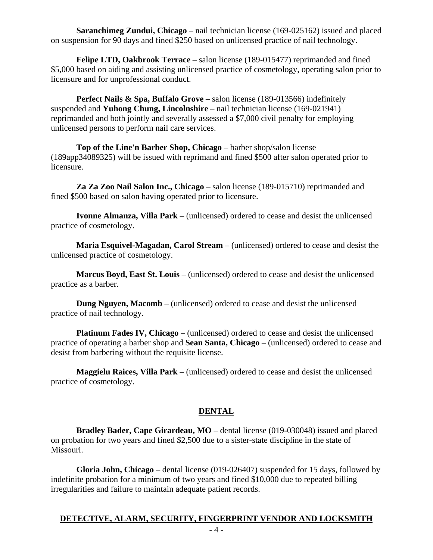**Saranchimeg Zundui, Chicago** – nail technician license (169-025162) issued and placed on suspension for 90 days and fined \$250 based on unlicensed practice of nail technology.

**Felipe LTD, Oakbrook Terrace** – salon license (189-015477) reprimanded and fined \$5,000 based on aiding and assisting unlicensed practice of cosmetology, operating salon prior to licensure and for unprofessional conduct.

**Perfect Nails & Spa, Buffalo Grove** – salon license (189-013566) indefinitely suspended and **Yuhong Chung, Lincolnshire** – nail technician license (169-021941) reprimanded and both jointly and severally assessed a \$7,000 civil penalty for employing unlicensed persons to perform nail care services.

**Top of the Line'n Barber Shop, Chicago** – barber shop/salon license (189app34089325) will be issued with reprimand and fined \$500 after salon operated prior to licensure.

**Za Za Zoo Nail Salon Inc., Chicago** – salon license (189-015710) reprimanded and fined \$500 based on salon having operated prior to licensure.

**Ivonne Almanza, Villa Park** – (unlicensed) ordered to cease and desist the unlicensed practice of cosmetology.

**Maria Esquivel-Magadan, Carol Stream** – (unlicensed) ordered to cease and desist the unlicensed practice of cosmetology.

**Marcus Boyd, East St. Louis** – (unlicensed) ordered to cease and desist the unlicensed practice as a barber.

**Dung Nguyen, Macomb** – (unlicensed) ordered to cease and desist the unlicensed practice of nail technology.

**Platinum Fades IV, Chicago** – (unlicensed) ordered to cease and desist the unlicensed practice of operating a barber shop and **Sean Santa, Chicago** – (unlicensed) ordered to cease and desist from barbering without the requisite license.

**Maggielu Raices, Villa Park** – (unlicensed) ordered to cease and desist the unlicensed practice of cosmetology.

#### **DENTAL**

**Bradley Bader, Cape Girardeau, MO** – dental license (019-030048) issued and placed on probation for two years and fined \$2,500 due to a sister-state discipline in the state of Missouri.

**Gloria John, Chicago** – dental license (019-026407) suspended for 15 days, followed by indefinite probation for a minimum of two years and fined \$10,000 due to repeated billing irregularities and failure to maintain adequate patient records.

#### **DETECTIVE, ALARM, SECURITY, FINGERPRINT VENDOR AND LOCKSMITH**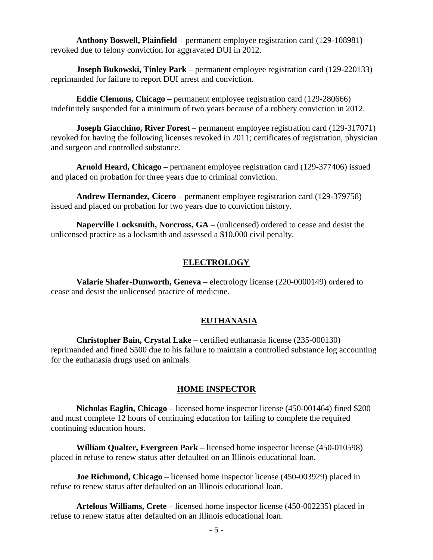**Anthony Boswell, Plainfield** – permanent employee registration card (129-108981) revoked due to felony conviction for aggravated DUI in 2012.

**Joseph Bukowski, Tinley Park** – permanent employee registration card (129-220133) reprimanded for failure to report DUI arrest and conviction.

**Eddie Clemons, Chicago** – permanent employee registration card (129-280666) indefinitely suspended for a minimum of two years because of a robbery conviction in 2012.

**Joseph Giacchino, River Forest** – permanent employee registration card (129-317071) revoked for having the following licenses revoked in 2011; certificates of registration, physician and surgeon and controlled substance.

**Arnold Heard, Chicago** – permanent employee registration card (129-377406) issued and placed on probation for three years due to criminal conviction.

**Andrew Hernandez, Cicero** – permanent employee registration card (129-379758) issued and placed on probation for two years due to conviction history.

**Naperville Locksmith, Norcross, GA** – (unlicensed) ordered to cease and desist the unlicensed practice as a locksmith and assessed a \$10,000 civil penalty.

#### **ELECTROLOGY**

**Valarie Shafer-Dunworth, Geneva** – electrology license (220-0000149) ordered to cease and desist the unlicensed practice of medicine.

#### **EUTHANASIA**

**Christopher Bain, Crystal Lake** – certified euthanasia license (235-000130) reprimanded and fined \$500 due to his failure to maintain a controlled substance log accounting for the euthanasia drugs used on animals.

#### **HOME INSPECTOR**

**Nicholas Eaglin, Chicago** – licensed home inspector license (450-001464) fined \$200 and must complete 12 hours of continuing education for failing to complete the required continuing education hours.

**William Qualter, Evergreen Park** – licensed home inspector license (450-010598) placed in refuse to renew status after defaulted on an Illinois educational loan.

**Joe Richmond, Chicago** – licensed home inspector license (450-003929) placed in refuse to renew status after defaulted on an Illinois educational loan.

**Artelous Williams, Crete** – licensed home inspector license (450-002235) placed in refuse to renew status after defaulted on an Illinois educational loan.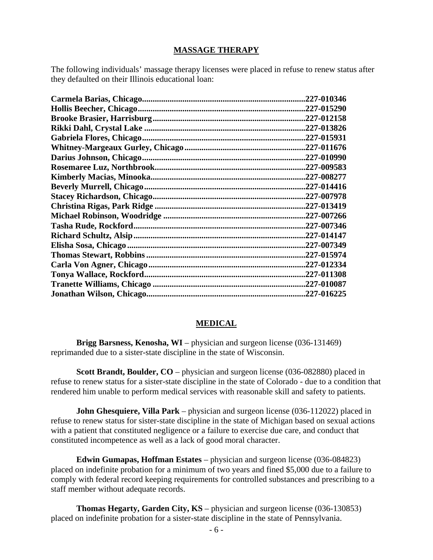#### **MASSAGE THERAPY**

The following individuals' massage therapy licenses were placed in refuse to renew status after they defaulted on their Illinois educational loan:

|                          | .227-010346 |
|--------------------------|-------------|
|                          | .227-015290 |
|                          | .227-012158 |
|                          | .227-013826 |
|                          | .227-015931 |
|                          | .227-011676 |
|                          | .227-010990 |
|                          | .227-009583 |
|                          | .227-008277 |
|                          | .227-014416 |
|                          | .227-007978 |
|                          | .227-013419 |
|                          | .227-007266 |
|                          | .227-007346 |
|                          | .227-014147 |
|                          | .227-007349 |
|                          | .227-015974 |
|                          | .227-012334 |
| Tonya Wallace, Rockford. | .227-011308 |
|                          | .227-010087 |
|                          | .227-016225 |
|                          |             |

#### **MEDICAL**

**Brigg Barsness, Kenosha, WI** – physician and surgeon license (036-131469) reprimanded due to a sister-state discipline in the state of Wisconsin.

**Scott Brandt, Boulder, CO** – physician and surgeon license (036-082880) placed in refuse to renew status for a sister-state discipline in the state of Colorado - due to a condition that rendered him unable to perform medical services with reasonable skill and safety to patients.

**John Ghesquiere, Villa Park** – physician and surgeon license (036-112022) placed in refuse to renew status for sister-state discipline in the state of Michigan based on sexual actions with a patient that constituted negligence or a failure to exercise due care, and conduct that constituted incompetence as well as a lack of good moral character.

**Edwin Gumapas, Hoffman Estates** – physician and surgeon license (036-084823) placed on indefinite probation for a minimum of two years and fined \$5,000 due to a failure to comply with federal record keeping requirements for controlled substances and prescribing to a staff member without adequate records.

**Thomas Hegarty, Garden City, KS** – physician and surgeon license (036-130853) placed on indefinite probation for a sister-state discipline in the state of Pennsylvania.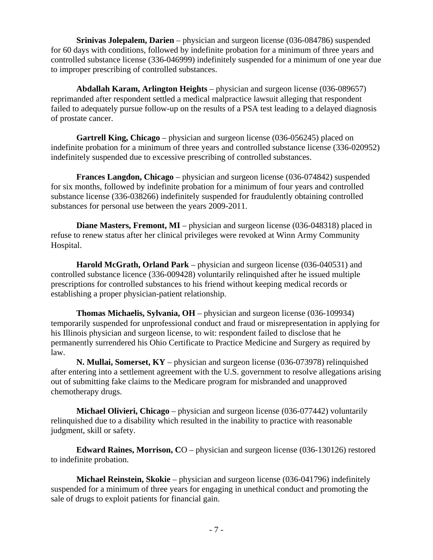**Srinivas Jolepalem, Darien** – physician and surgeon license (036-084786) suspended for 60 days with conditions, followed by indefinite probation for a minimum of three years and controlled substance license (336-046999) indefinitely suspended for a minimum of one year due to improper prescribing of controlled substances.

**Abdallah Karam, Arlington Heights** – physician and surgeon license (036-089657) reprimanded after respondent settled a medical malpractice lawsuit alleging that respondent failed to adequately pursue follow-up on the results of a PSA test leading to a delayed diagnosis of prostate cancer.

**Gartrell King, Chicago** – physician and surgeon license (036-056245) placed on indefinite probation for a minimum of three years and controlled substance license (336-020952) indefinitely suspended due to excessive prescribing of controlled substances.

**Frances Langdon, Chicago** – physician and surgeon license (036-074842) suspended for six months, followed by indefinite probation for a minimum of four years and controlled substance license (336-038266) indefinitely suspended for fraudulently obtaining controlled substances for personal use between the years 2009-2011.

**Diane Masters, Fremont, MI** – physician and surgeon license (036-048318) placed in refuse to renew status after her clinical privileges were revoked at Winn Army Community Hospital.

**Harold McGrath, Orland Park** – physician and surgeon license (036-040531) and controlled substance licence (336-009428) voluntarily relinquished after he issued multiple prescriptions for controlled substances to his friend without keeping medical records or establishing a proper physician-patient relationship.

**Thomas Michaelis, Sylvania, OH** – physician and surgeon license (036-109934) temporarily suspended for unprofessional conduct and fraud or misrepresentation in applying for his Illinois physician and surgeon license, to wit: respondent failed to disclose that he permanently surrendered his Ohio Certificate to Practice Medicine and Surgery as required by law.

**N. Mullai, Somerset, KY** – physician and surgeon license (036-073978) relinquished after entering into a settlement agreement with the U.S. government to resolve allegations arising out of submitting fake claims to the Medicare program for misbranded and unapproved chemotherapy drugs.

**Michael Olivieri, Chicago** – physician and surgeon license (036-077442) voluntarily relinquished due to a disability which resulted in the inability to practice with reasonable judgment, skill or safety.

**Edward Raines, Morrison, C**O – physician and surgeon license (036-130126) restored to indefinite probation.

**Michael Reinstein, Skokie** – physician and surgeon license (036-041796) indefinitely suspended for a minimum of three years for engaging in unethical conduct and promoting the sale of drugs to exploit patients for financial gain.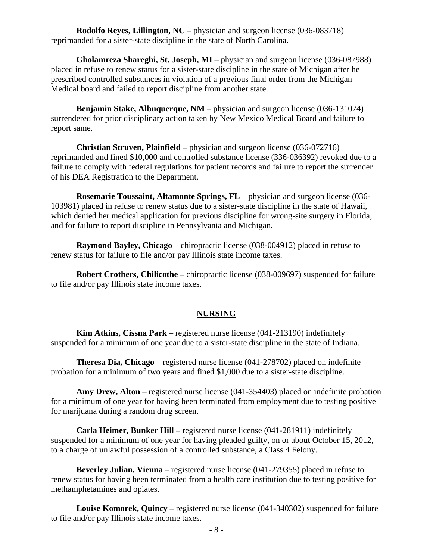**Rodolfo Reyes, Lillington, NC** – physician and surgeon license (036-083718) reprimanded for a sister-state discipline in the state of North Carolina.

**Gholamreza Shareghi, St. Joseph, MI** – physician and surgeon license (036-087988) placed in refuse to renew status for a sister-state discipline in the state of Michigan after he prescribed controlled substances in violation of a previous final order from the Michigan Medical board and failed to report discipline from another state.

**Benjamin Stake, Albuquerque, NM** – physician and surgeon license (036-131074) surrendered for prior disciplinary action taken by New Mexico Medical Board and failure to report same.

**Christian Struven, Plainfield** – physician and surgeon license (036-072716) reprimanded and fined \$10,000 and controlled substance license (336-036392) revoked due to a failure to comply with federal regulations for patient records and failure to report the surrender of his DEA Registration to the Department.

**Rosemarie Toussaint, Altamonte Springs, FL** – physician and surgeon license (036- 103981) placed in refuse to renew status due to a sister-state discipline in the state of Hawaii, which denied her medical application for previous discipline for wrong-site surgery in Florida, and for failure to report discipline in Pennsylvania and Michigan.

**Raymond Bayley, Chicago** – chiropractic license (038-004912) placed in refuse to renew status for failure to file and/or pay Illinois state income taxes.

**Robert Crothers, Chilicothe** – chiropractic license (038-009697) suspended for failure to file and/or pay Illinois state income taxes.

#### **NURSING**

**Kim Atkins, Cissna Park** – registered nurse license (041-213190) indefinitely suspended for a minimum of one year due to a sister-state discipline in the state of Indiana.

**Theresa Dia, Chicago** – registered nurse license (041-278702) placed on indefinite probation for a minimum of two years and fined \$1,000 due to a sister-state discipline.

**Amy Drew, Alton** – registered nurse license (041-354403) placed on indefinite probation for a minimum of one year for having been terminated from employment due to testing positive for marijuana during a random drug screen.

**Carla Heimer, Bunker Hill** – registered nurse license (041-281911) indefinitely suspended for a minimum of one year for having pleaded guilty, on or about October 15, 2012, to a charge of unlawful possession of a controlled substance, a Class 4 Felony.

**Beverley Julian, Vienna** – registered nurse license (041-279355) placed in refuse to renew status for having been terminated from a health care institution due to testing positive for methamphetamines and opiates.

**Louise Komorek, Quincy** – registered nurse license (041-340302) suspended for failure to file and/or pay Illinois state income taxes.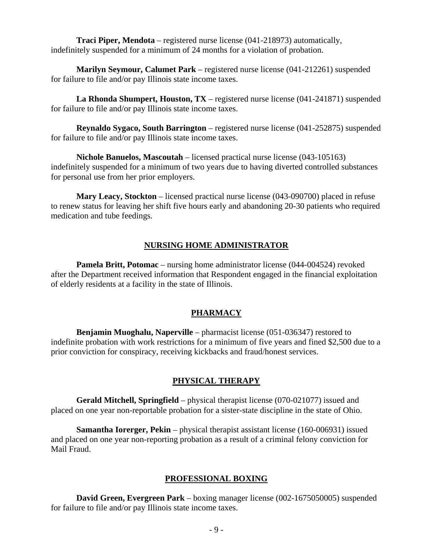**Traci Piper, Mendota** – registered nurse license (041-218973) automatically, indefinitely suspended for a minimum of 24 months for a violation of probation.

**Marilyn Seymour, Calumet Park** – registered nurse license (041-212261) suspended for failure to file and/or pay Illinois state income taxes.

**La Rhonda Shumpert, Houston, TX** – registered nurse license (041-241871) suspended for failure to file and/or pay Illinois state income taxes.

**Reynaldo Sygaco, South Barrington** – registered nurse license (041-252875) suspended for failure to file and/or pay Illinois state income taxes.

**Nichole Banuelos, Mascoutah** – licensed practical nurse license (043-105163) indefinitely suspended for a minimum of two years due to having diverted controlled substances for personal use from her prior employers.

**Mary Leacy, Stockton** – licensed practical nurse license (043-090700) placed in refuse to renew status for leaving her shift five hours early and abandoning 20-30 patients who required medication and tube feedings.

#### **NURSING HOME ADMINISTRATOR**

**Pamela Britt, Potomac** – nursing home administrator license (044-004524) revoked after the Department received information that Respondent engaged in the financial exploitation of elderly residents at a facility in the state of Illinois.

#### **PHARMACY**

**Benjamin Muoghalu, Naperville** – pharmacist license (051-036347) restored to indefinite probation with work restrictions for a minimum of five years and fined \$2,500 due to a prior conviction for conspiracy, receiving kickbacks and fraud/honest services.

#### **PHYSICAL THERAPY**

**Gerald Mitchell, Springfield** – physical therapist license (070-021077) issued and placed on one year non-reportable probation for a sister-state discipline in the state of Ohio.

**Samantha Iorerger, Pekin** – physical therapist assistant license (160-006931) issued and placed on one year non-reporting probation as a result of a criminal felony conviction for Mail Fraud.

#### **PROFESSIONAL BOXING**

**David Green, Evergreen Park** – boxing manager license (002-1675050005) suspended for failure to file and/or pay Illinois state income taxes.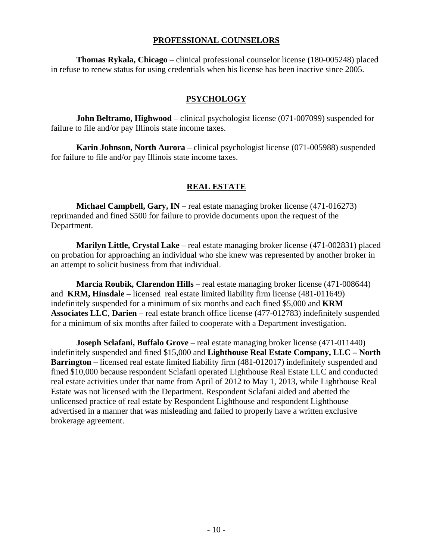#### **PROFESSIONAL COUNSELORS**

**Thomas Rykala, Chicago** – clinical professional counselor license (180-005248) placed in refuse to renew status for using credentials when his license has been inactive since 2005.

#### **PSYCHOLOGY**

**John Beltramo, Highwood** – clinical psychologist license (071-007099) suspended for failure to file and/or pay Illinois state income taxes.

**Karin Johnson, North Aurora** – clinical psychologist license (071-005988) suspended for failure to file and/or pay Illinois state income taxes.

#### **REAL ESTATE**

**Michael Campbell, Gary, IN** – real estate managing broker license (471-016273) reprimanded and fined \$500 for failure to provide documents upon the request of the Department.

**Marilyn Little, Crystal Lake** – real estate managing broker license (471-002831) placed on probation for approaching an individual who she knew was represented by another broker in an attempt to solicit business from that individual.

**Marcia Roubik, Clarendon Hills** – real estate managing broker license (471-008644) and **KRM, Hinsdale** – licensed real estate limited liability firm license (481-011649) indefinitely suspended for a minimum of six months and each fined \$5,000 and **KRM Associates LLC**, **Darien** – real estate branch office license (477-012783) indefinitely suspended for a minimum of six months after failed to cooperate with a Department investigation.

**Joseph Sclafani, Buffalo Grove** – real estate managing broker license (471-011440) indefinitely suspended and fined \$15,000 and **Lighthouse Real Estate Company, LLC – North Barrington** – licensed real estate limited liability firm (481-012017) indefinitely suspended and fined \$10,000 because respondent Sclafani operated Lighthouse Real Estate LLC and conducted real estate activities under that name from April of 2012 to May 1, 2013, while Lighthouse Real Estate was not licensed with the Department. Respondent Sclafani aided and abetted the unlicensed practice of real estate by Respondent Lighthouse and respondent Lighthouse advertised in a manner that was misleading and failed to properly have a written exclusive brokerage agreement.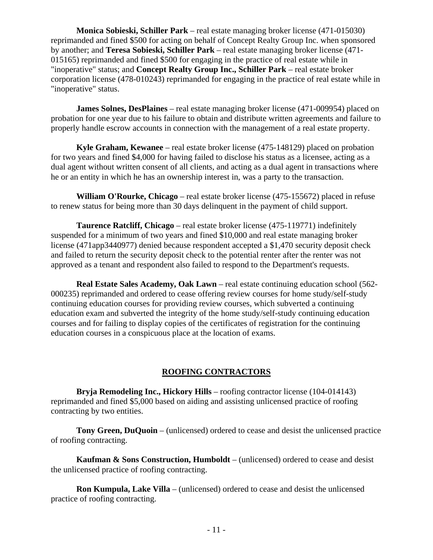**Monica Sobieski, Schiller Park** – real estate managing broker license (471-015030) reprimanded and fined \$500 for acting on behalf of Concept Realty Group Inc. when sponsored by another; and **Teresa Sobieski, Schiller Park** – real estate managing broker license (471- 015165) reprimanded and fined \$500 for engaging in the practice of real estate while in "inoperative" status; and **Concept Realty Group Inc., Schiller Park** – real estate broker corporation license (478-010243) reprimanded for engaging in the practice of real estate while in "inoperative" status.

**James Solnes, DesPlaines** – real estate managing broker license (471-009954) placed on probation for one year due to his failure to obtain and distribute written agreements and failure to properly handle escrow accounts in connection with the management of a real estate property.

**Kyle Graham, Kewanee** – real estate broker license (475-148129) placed on probation for two years and fined \$4,000 for having failed to disclose his status as a licensee, acting as a dual agent without written consent of all clients, and acting as a dual agent in transactions where he or an entity in which he has an ownership interest in, was a party to the transaction.

**William O'Rourke, Chicago** – real estate broker license (475-155672) placed in refuse to renew status for being more than 30 days delinquent in the payment of child support.

**Taurence Ratcliff, Chicago** – real estate broker license (475-119771) indefinitely suspended for a minimum of two years and fined \$10,000 and real estate managing broker license (471app3440977) denied because respondent accepted a \$1,470 security deposit check and failed to return the security deposit check to the potential renter after the renter was not approved as a tenant and respondent also failed to respond to the Department's requests.

**Real Estate Sales Academy, Oak Lawn** – real estate continuing education school (562- 000235) reprimanded and ordered to cease offering review courses for home study/self-study continuing education courses for providing review courses, which subverted a continuing education exam and subverted the integrity of the home study/self-study continuing education courses and for failing to display copies of the certificates of registration for the continuing education courses in a conspicuous place at the location of exams.

#### **ROOFING CONTRACTORS**

**Bryja Remodeling Inc., Hickory Hills** – roofing contractor license (104-014143) reprimanded and fined \$5,000 based on aiding and assisting unlicensed practice of roofing contracting by two entities.

**Tony Green, DuQuoin** – (unlicensed) ordered to cease and desist the unlicensed practice of roofing contracting.

**Kaufman & Sons Construction, Humboldt** – (unlicensed) ordered to cease and desist the unlicensed practice of roofing contracting.

**Ron Kumpula, Lake Villa** – (unlicensed) ordered to cease and desist the unlicensed practice of roofing contracting.